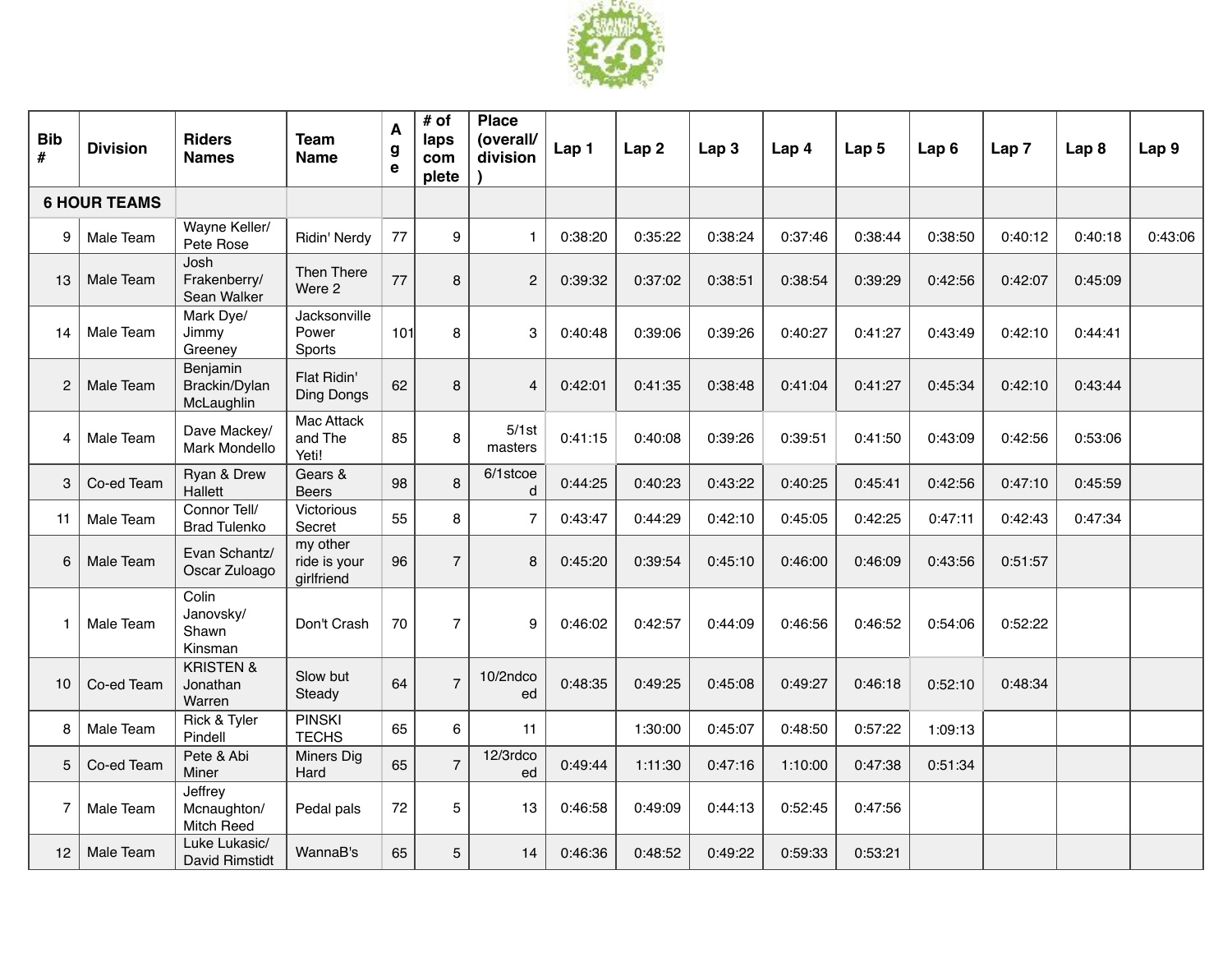

| <b>Bib</b><br>$\#$ | <b>Division</b>     | <b>Riders</b><br><b>Names</b>              | <b>Team</b><br><b>Name</b>             | A<br>g<br>e | # of<br>laps<br>com<br>plete | <b>Place</b><br>(overall/<br>division | Lap 1   | Lap <sub>2</sub> | Lap <sub>3</sub> | Lap <sub>4</sub> | Lap <sub>5</sub> | Lap <sub>6</sub> | Lap <sub>7</sub> | Lap <sub>8</sub> | Lap 9   |
|--------------------|---------------------|--------------------------------------------|----------------------------------------|-------------|------------------------------|---------------------------------------|---------|------------------|------------------|------------------|------------------|------------------|------------------|------------------|---------|
|                    | <b>6 HOUR TEAMS</b> |                                            |                                        |             |                              |                                       |         |                  |                  |                  |                  |                  |                  |                  |         |
| 9                  | Male Team           | Wayne Keller/<br>Pete Rose                 | Ridin' Nerdy                           | 77          | 9                            | $\mathbf{1}$                          | 0:38:20 | 0:35:22          | 0:38:24          | 0:37:46          | 0:38:44          | 0:38:50          | 0:40:12          | 0:40:18          | 0:43:06 |
| 13                 | Male Team           | Josh<br>Frakenberry/<br>Sean Walker        | Then There<br>Were 2                   | 77          | 8                            | $\overline{c}$                        | 0:39:32 | 0:37:02          | 0:38:51          | 0:38:54          | 0:39:29          | 0:42:56          | 0:42:07          | 0:45:09          |         |
| 14                 | Male Team           | Mark Dye/<br>Jimmy<br>Greeney              | Jacksonville<br>Power<br>Sports        | 101         | 8                            | 3                                     | 0:40:48 | 0:39:06          | 0:39:26          | 0:40:27          | 0:41:27          | 0:43:49          | 0:42:10          | 0:44:41          |         |
| $\overline{c}$     | Male Team           | Benjamin<br>Brackin/Dylan<br>McLaughlin    | Flat Ridin'<br>Ding Dongs              | 62          | 8                            | $\overline{4}$                        | 0:42:01 | 0:41:35          | 0:38:48          | 0:41:04          | 0:41:27          | 0:45:34          | 0:42:10          | 0:43:44          |         |
| 4                  | Male Team           | Dave Mackey/<br>Mark Mondello              | Mac Attack<br>and The<br>Yeti!         | 85          | 8                            | $5/1$ st<br>masters                   | 0:41:15 | 0:40:08          | 0:39:26          | 0:39:51          | 0:41:50          | 0:43:09          | 0:42:56          | 0:53:06          |         |
| 3                  | Co-ed Team          | Ryan & Drew<br>Hallett                     | Gears &<br><b>Beers</b>                | 98          | 8                            | 6/1stcoe<br>d                         | 0:44:25 | 0:40:23          | 0:43:22          | 0:40:25          | 0:45:41          | 0:42:56          | 0:47:10          | 0:45:59          |         |
| 11                 | Male Team           | Connor Tell/<br><b>Brad Tulenko</b>        | Victorious<br>Secret                   | 55          | 8                            | $\overline{7}$                        | 0:43:47 | 0:44:29          | 0:42:10          | 0:45:05          | 0:42:25          | 0:47:11          | 0:42:43          | 0:47:34          |         |
| 6                  | Male Team           | Evan Schantz/<br>Oscar Zuloago             | my other<br>ride is your<br>girlfriend | 96          | $\overline{7}$               | 8                                     | 0:45:20 | 0:39:54          | 0:45:10          | 0:46:00          | 0:46:09          | 0:43:56          | 0:51:57          |                  |         |
| 1                  | Male Team           | Colin<br>Janovsky/<br>Shawn<br>Kinsman     | Don't Crash                            | 70          | $\overline{7}$               | 9                                     | 0:46:02 | 0:42:57          | 0:44:09          | 0:46:56          | 0:46:52          | 0:54:06          | 0:52:22          |                  |         |
| 10                 | Co-ed Team          | <b>KRISTEN &amp;</b><br>Jonathan<br>Warren | Slow but<br>Steady                     | 64          | $\overline{7}$               | 10/2ndco<br>ed                        | 0:48:35 | 0:49:25          | 0:45:08          | 0:49:27          | 0:46:18          | 0:52:10          | 0:48:34          |                  |         |
| 8                  | Male Team           | Rick & Tyler<br>Pindell                    | <b>PINSKI</b><br><b>TECHS</b>          | 65          | 6                            | 11                                    |         | 1:30:00          | 0:45:07          | 0:48:50          | 0:57:22          | 1:09:13          |                  |                  |         |
| 5                  | Co-ed Team          | Pete & Abi<br>Miner                        | Miners Dig<br>Hard                     | 65          | $\overline{7}$               | 12/3rdco<br>ed                        | 0:49:44 | 1:11:30          | 0:47:16          | 1:10:00          | 0:47:38          | 0:51:34          |                  |                  |         |
| 7                  | Male Team           | Jeffrey<br>Mcnaughton/<br>Mitch Reed       | Pedal pals                             | 72          | 5                            | 13                                    | 0:46:58 | 0:49:09          | 0:44:13          | 0:52:45          | 0:47:56          |                  |                  |                  |         |
| 12                 | Male Team           | Luke Lukasic/<br>David Rimstidt            | WannaB's                               | 65          | 5                            | 14                                    | 0:46:36 | 0:48:52          | 0:49:22          | 0:59:33          | 0:53:21          |                  |                  |                  |         |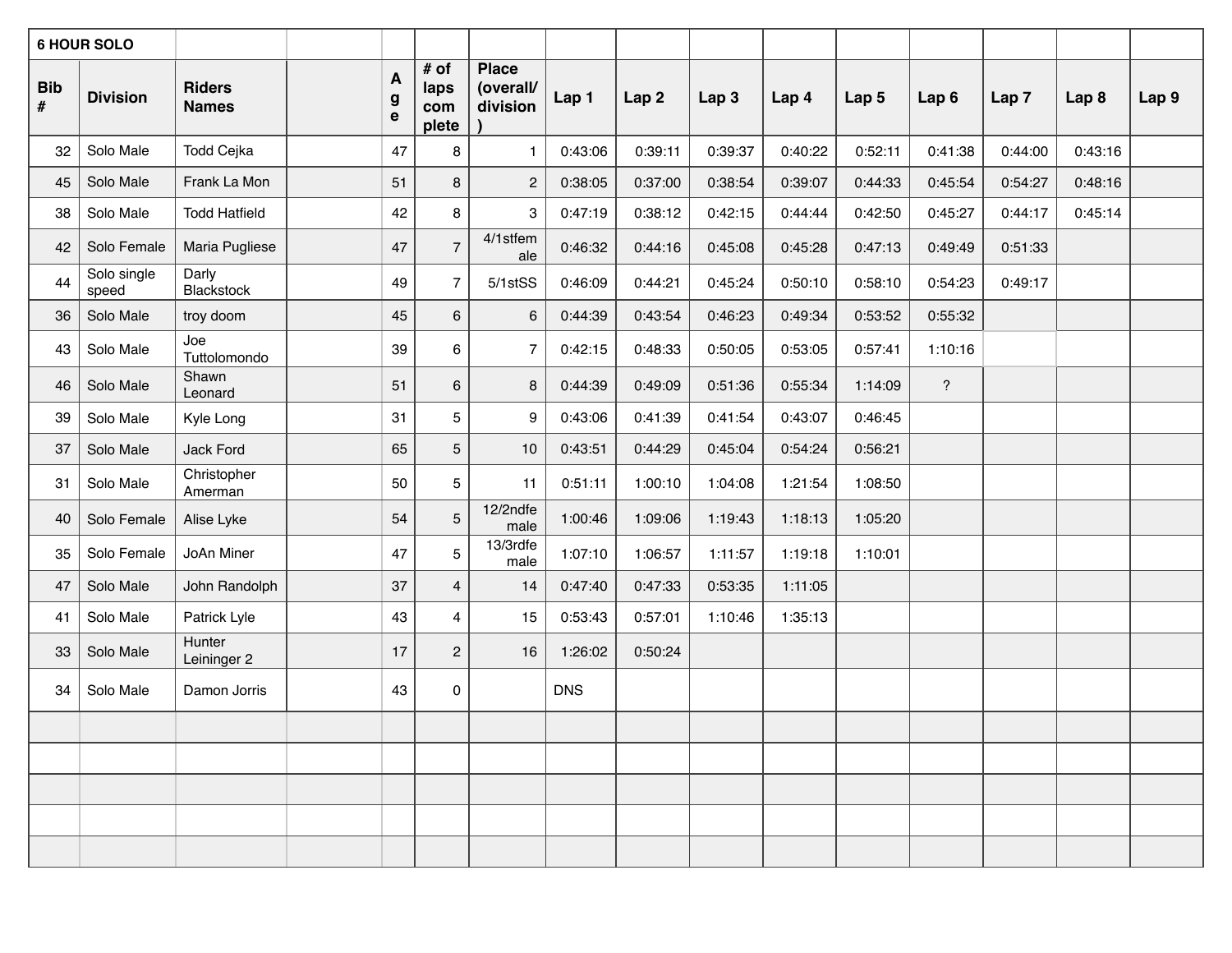|                 | <b>6 HOUR SOLO</b>   |                               |        |    |                              |                                       |            |                  |                  |         |                  |                  |                  |         |                  |
|-----------------|----------------------|-------------------------------|--------|----|------------------------------|---------------------------------------|------------|------------------|------------------|---------|------------------|------------------|------------------|---------|------------------|
| <b>Bib</b><br># | <b>Division</b>      | <b>Riders</b><br><b>Names</b> | g<br>e | A  | # of<br>laps<br>com<br>plete | <b>Place</b><br>(overall/<br>division | Lap 1      | Lap <sub>2</sub> | Lap <sub>3</sub> | Lap 4   | Lap <sub>5</sub> | Lap <sub>6</sub> | Lap <sub>7</sub> | Lap 8   | Lap <sub>9</sub> |
| 32              | Solo Male            | <b>Todd Cejka</b>             |        | 47 | 8                            | $\mathbf{1}$                          | 0:43:06    | 0:39:11          | 0:39:37          | 0:40:22 | 0:52:11          | 0:41:38          | 0:44:00          | 0:43:16 |                  |
| 45              | Solo Male            | Frank La Mon                  |        | 51 | 8                            | $\overline{c}$                        | 0:38:05    | 0:37:00          | 0:38:54          | 0:39:07 | 0:44:33          | 0:45:54          | 0:54:27          | 0:48:16 |                  |
| 38              | Solo Male            | <b>Todd Hatfield</b>          |        | 42 | 8                            | 3                                     | 0:47:19    | 0:38:12          | 0:42:15          | 0:44:44 | 0:42:50          | 0:45:27          | 0:44:17          | 0:45:14 |                  |
| 42              | Solo Female          | Maria Pugliese                |        | 47 | $\overline{7}$               | 4/1stfem<br>ale                       | 0:46:32    | 0:44:16          | 0:45:08          | 0:45:28 | 0:47:13          | 0:49:49          | 0:51:33          |         |                  |
| 44              | Solo single<br>speed | Darly<br>Blackstock           |        | 49 | $\overline{7}$               | 5/1stSS                               | 0:46:09    | 0:44:21          | 0:45:24          | 0:50:10 | 0:58:10          | 0:54:23          | 0:49:17          |         |                  |
| 36              | Solo Male            | troy doom                     |        | 45 | 6                            | 6                                     | 0:44:39    | 0:43:54          | 0:46:23          | 0:49:34 | 0:53:52          | 0:55:32          |                  |         |                  |
| 43              | Solo Male            | Joe<br>Tuttolomondo           |        | 39 | 6                            | $\overline{7}$                        | 0:42:15    | 0:48:33          | 0:50:05          | 0:53:05 | 0:57:41          | 1:10:16          |                  |         |                  |
| 46              | Solo Male            | Shawn<br>Leonard              |        | 51 | 6                            | 8                                     | 0:44:39    | 0:49:09          | 0:51:36          | 0:55:34 | 1:14:09          | $\ddot{?}$       |                  |         |                  |
| 39              | Solo Male            | Kyle Long                     |        | 31 | 5                            | 9                                     | 0:43:06    | 0:41:39          | 0:41:54          | 0:43:07 | 0:46:45          |                  |                  |         |                  |
| 37              | Solo Male            | Jack Ford                     |        | 65 | 5                            | 10                                    | 0:43:51    | 0:44:29          | 0:45:04          | 0:54:24 | 0:56:21          |                  |                  |         |                  |
| 31              | Solo Male            | Christopher<br>Amerman        |        | 50 | 5                            | 11                                    | 0:51:11    | 1:00:10          | 1:04:08          | 1:21:54 | 1:08:50          |                  |                  |         |                  |
| 40              | Solo Female          | Alise Lyke                    |        | 54 | $5\phantom{.0}$              | 12/2ndfe<br>male                      | 1:00:46    | 1:09:06          | 1:19:43          | 1:18:13 | 1:05:20          |                  |                  |         |                  |
| 35              | Solo Female          | JoAn Miner                    |        | 47 | 5                            | 13/3rdfe<br>male                      | 1:07:10    | 1:06:57          | 1:11:57          | 1:19:18 | 1:10:01          |                  |                  |         |                  |
| 47              | Solo Male            | John Randolph                 |        | 37 | $\overline{4}$               | 14                                    | 0:47:40    | 0:47:33          | 0:53:35          | 1:11:05 |                  |                  |                  |         |                  |
| 41              | Solo Male            | Patrick Lyle                  |        | 43 | $\overline{4}$               | 15                                    | 0:53:43    | 0:57:01          | 1:10:46          | 1:35:13 |                  |                  |                  |         |                  |
| 33              | Solo Male            | Hunter<br>Leininger 2         |        | 17 | $\overline{2}$               | 16                                    | 1:26:02    | 0:50:24          |                  |         |                  |                  |                  |         |                  |
| 34              | Solo Male            | Damon Jorris                  |        | 43 | $\mathbf 0$                  |                                       | <b>DNS</b> |                  |                  |         |                  |                  |                  |         |                  |
|                 |                      |                               |        |    |                              |                                       |            |                  |                  |         |                  |                  |                  |         |                  |
|                 |                      |                               |        |    |                              |                                       |            |                  |                  |         |                  |                  |                  |         |                  |
|                 |                      |                               |        |    |                              |                                       |            |                  |                  |         |                  |                  |                  |         |                  |
|                 |                      |                               |        |    |                              |                                       |            |                  |                  |         |                  |                  |                  |         |                  |
|                 |                      |                               |        |    |                              |                                       |            |                  |                  |         |                  |                  |                  |         |                  |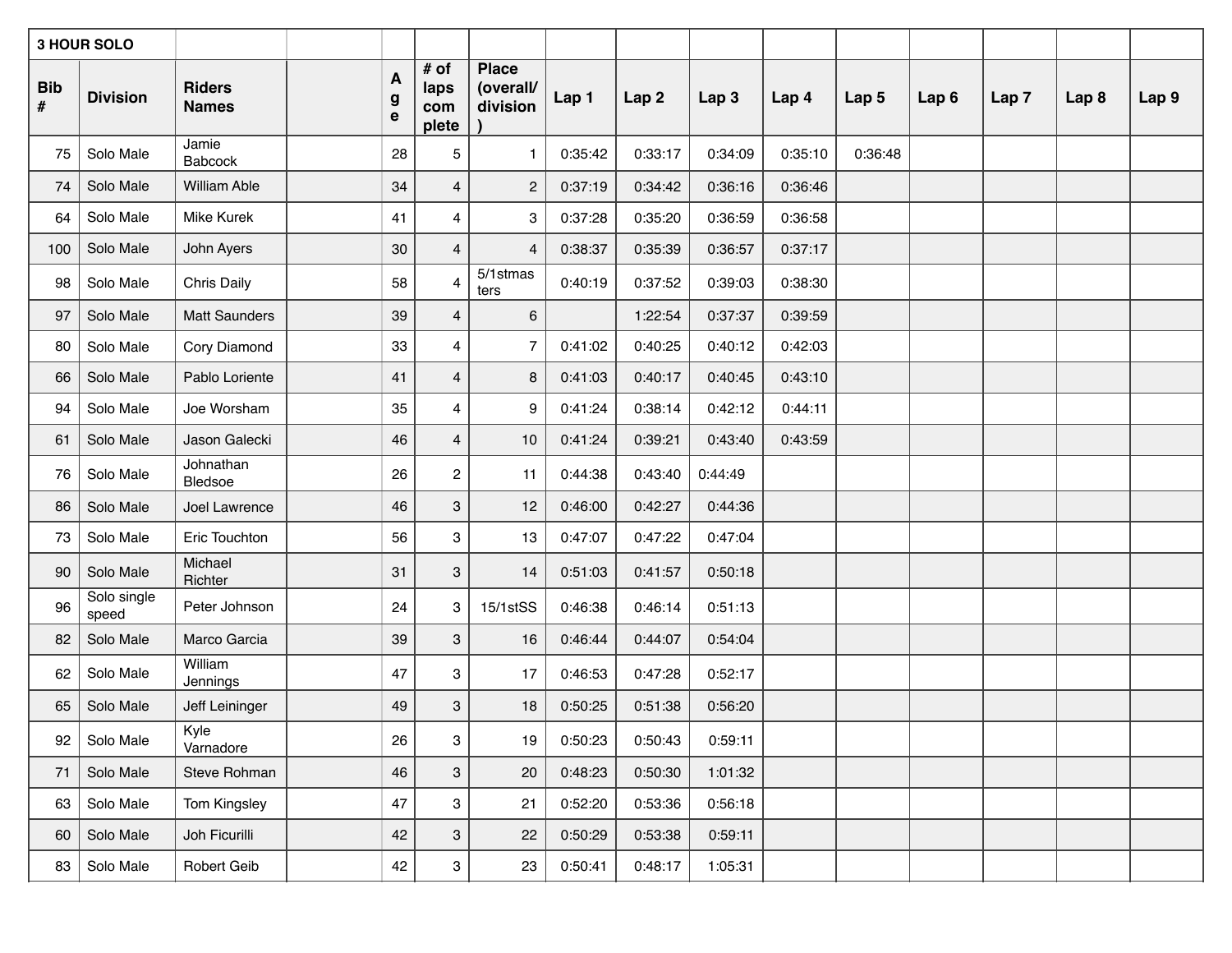| <b>3 HOUR SOLO</b> |                      |                               |                       |                              |                                       |         |                  |                  |                  |                  |                  |                  |                  |                  |
|--------------------|----------------------|-------------------------------|-----------------------|------------------------------|---------------------------------------|---------|------------------|------------------|------------------|------------------|------------------|------------------|------------------|------------------|
| <b>Bib</b><br>#    | <b>Division</b>      | <b>Riders</b><br><b>Names</b> | A<br>g<br>$\mathbf e$ | # of<br>laps<br>com<br>plete | <b>Place</b><br>(overall/<br>division | Lap 1   | Lap <sub>2</sub> | Lap <sub>3</sub> | Lap <sub>4</sub> | Lap <sub>5</sub> | Lap <sub>6</sub> | Lap <sub>7</sub> | Lap <sub>8</sub> | Lap <sub>9</sub> |
| 75                 | Solo Male            | Jamie<br>Babcock              | 28                    | 5                            | $\mathbf{1}$                          | 0:35:42 | 0:33:17          | 0:34:09          | 0:35:10          | 0:36:48          |                  |                  |                  |                  |
| 74                 | Solo Male            | William Able                  | 34                    | $\overline{4}$               | $\overline{c}$                        | 0:37:19 | 0:34:42          | 0:36:16          | 0:36:46          |                  |                  |                  |                  |                  |
| 64                 | Solo Male            | Mike Kurek                    | 41                    | 4                            | 3                                     | 0:37:28 | 0:35:20          | 0:36:59          | 0:36:58          |                  |                  |                  |                  |                  |
| 100                | Solo Male            | John Ayers                    | 30                    | $\overline{4}$               | $\overline{4}$                        | 0:38:37 | 0:35:39          | 0:36:57          | 0:37:17          |                  |                  |                  |                  |                  |
| 98                 | Solo Male            | <b>Chris Daily</b>            | 58                    | $\overline{4}$               | 5/1stmas<br>ters                      | 0:40:19 | 0:37:52          | 0:39:03          | 0:38:30          |                  |                  |                  |                  |                  |
| 97                 | Solo Male            | <b>Matt Saunders</b>          | 39                    | $\overline{4}$               | 6                                     |         | 1:22:54          | 0:37:37          | 0:39:59          |                  |                  |                  |                  |                  |
| 80                 | Solo Male            | Cory Diamond                  | 33                    | 4                            | $\overline{7}$                        | 0:41:02 | 0:40:25          | 0:40:12          | 0:42:03          |                  |                  |                  |                  |                  |
| 66                 | Solo Male            | Pablo Loriente                | 41                    | $\overline{4}$               | 8                                     | 0:41:03 | 0:40:17          | 0:40:45          | 0:43:10          |                  |                  |                  |                  |                  |
| 94                 | Solo Male            | Joe Worsham                   | 35                    | $\overline{4}$               | 9                                     | 0:41:24 | 0:38:14          | 0:42:12          | 0:44:11          |                  |                  |                  |                  |                  |
| 61                 | Solo Male            | Jason Galecki                 | 46                    | 4                            | 10                                    | 0:41:24 | 0:39:21          | 0:43:40          | 0:43:59          |                  |                  |                  |                  |                  |
| 76                 | Solo Male            | Johnathan<br>Bledsoe          | 26                    | $\overline{c}$               | 11                                    | 0:44:38 | 0:43:40          | 0:44:49          |                  |                  |                  |                  |                  |                  |
| 86                 | Solo Male            | Joel Lawrence                 | 46                    | 3                            | 12                                    | 0:46:00 | 0:42:27          | 0:44:36          |                  |                  |                  |                  |                  |                  |
| 73                 | Solo Male            | Eric Touchton                 | 56                    | $\mathbf{3}$                 | 13                                    | 0:47:07 | 0:47:22          | 0:47:04          |                  |                  |                  |                  |                  |                  |
| 90                 | Solo Male            | Michael<br>Richter            | 31                    | 3                            | 14                                    | 0:51:03 | 0:41:57          | 0:50:18          |                  |                  |                  |                  |                  |                  |
| 96                 | Solo single<br>speed | Peter Johnson                 | 24                    | 3                            | 15/1stSS                              | 0:46:38 | 0:46:14          | 0:51:13          |                  |                  |                  |                  |                  |                  |
| 82                 | Solo Male            | Marco Garcia                  | 39                    | 3                            | 16                                    | 0:46:44 | 0:44:07          | 0:54:04          |                  |                  |                  |                  |                  |                  |
| 62                 | Solo Male            | William<br>Jennings           | 47                    | 3                            | 17                                    | 0:46:53 | 0:47:28          | 0:52:17          |                  |                  |                  |                  |                  |                  |
| 65                 | Solo Male            | Jeff Leininger                | 49                    | 3                            | 18                                    | 0:50:25 | 0:51:38          | 0:56:20          |                  |                  |                  |                  |                  |                  |
| 92                 | Solo Male            | Kyle<br>Varnadore             | 26                    | 3                            | 19                                    | 0:50:23 | 0:50:43          | 0:59:11          |                  |                  |                  |                  |                  |                  |
| 71                 | Solo Male            | Steve Rohman                  | 46                    | $\mathbf{3}$                 | 20                                    | 0:48:23 | 0:50:30          | 1:01:32          |                  |                  |                  |                  |                  |                  |
| 63                 | Solo Male            | Tom Kingsley                  | 47                    | 3                            | 21                                    | 0:52:20 | 0:53:36          | 0:56:18          |                  |                  |                  |                  |                  |                  |
| 60                 | Solo Male            | Joh Ficurilli                 | 42                    | $\ensuremath{\mathsf{3}}$    | 22                                    | 0:50:29 | 0:53:38          | 0:59:11          |                  |                  |                  |                  |                  |                  |
| 83                 | Solo Male            | Robert Geib                   | 42                    | 3                            | 23                                    | 0:50:41 | 0:48:17          | 1:05:31          |                  |                  |                  |                  |                  |                  |